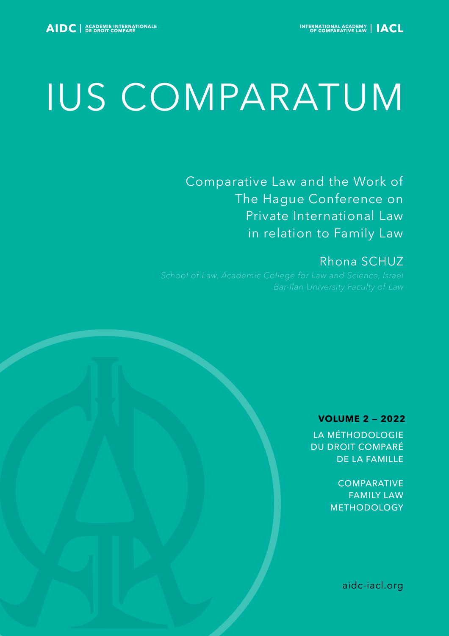# IUS COMPARATUM

Comparative Law and the Work of The Hague Conference on Private International Law in relation to Family Law

# Rhona SCHUZ

# **VOLUME 2 — 2022**

LA MÉTHODOLOGIE DU DROIT COMPARÉ DE LA FAMILLE

> **COMPARATIVE** FAMILY LAW METHODOLOGY

> > aidc-iacl.org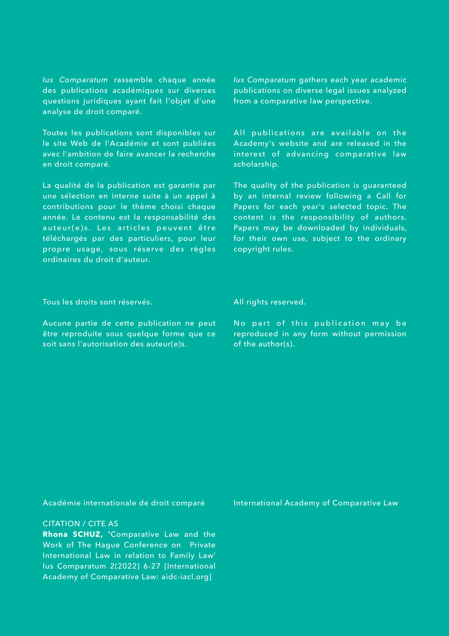*Ius Comparatum* rassemble chaque année des publications académiques sur diverses questions juridiques ayant fait l'objet d'une analyse de droit comparé.

Toutes les publications sont disponibles sur le site Web de l'Académie et sont publiées avec l'ambition de faire avancer la recherche en droit comparé.

La qualité de la publication est garantie par une sélection en interne suite à un appel à contributions pour le thème choisi chaque année. Le contenu est la responsabilité des auteur(e)s. Les articles peuvent être téléchargés par des particuliers, pour leur propre usage, sous réserve des règles ordinaires du droit d'auteur.

*Ius Comparatum* gathers each year academic publications on diverse legal issues analyzed from a comparative law perspective.

All publications are available on the Academy's website and are released in the interest of advancing comparative law scholarship.

The quality of the publication is guaranteed by an internal review following a Call for Papers for each year's selected topic. The content is the responsibility of authors. Papers may be downloaded by individuals, for their own use, subject to the ordinary copyright rules.

Tous les droits sont réservés.

Aucune partie de cette publication ne peut être reproduite sous quelque forme que ce soit sans l'autorisation des auteur(e)s.

All rights reserved.

No part of this publication may be reproduced in any form without permission of the author(s).

Académie internationale de droit comparé

#### CITATION / CITE AS

**Rhona SCHUZ, '**Comparative Law and the Work of The Hague Conference on Private International Law in relation to Family Law' Ius Comparatum 2(2022) 6-27 [International Academy of Comparative Law: aidc-iacl.org]

International Academy of Comparative Law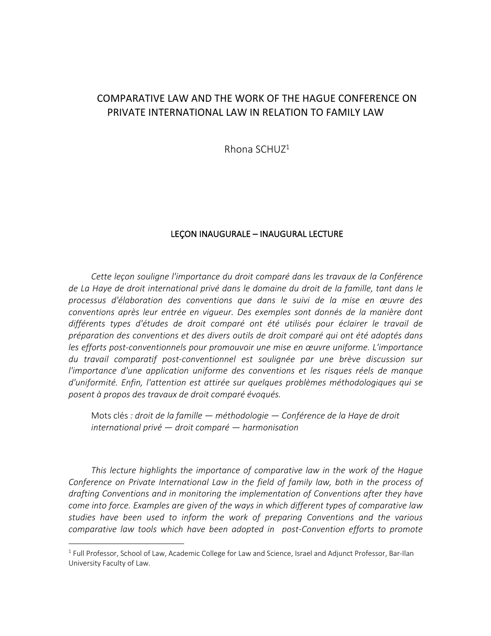# COMPARATIVE LAW AND THE WORK OF THE HAGUE CONFERENCE ON PRIVATE INTERNATIONAL LAW IN RELATION TO FAMILY LAW

Rhona SCHUZ1

### LEÇON INAUGURALE – INAUGURAL LECTURE

*Cette leçon souligne l'importance du droit comparé dans les travaux de la Conférence de La Haye de droit international privé dans le domaine du droit de la famille, tant dans le processus d'élaboration des conventions que dans le suivi de la mise en œuvre des conventions après leur entrée en vigueur. Des exemples sont donnés de la manière dont différents types d'études de droit comparé ont été utilisés pour éclairer le travail de préparation des conventions et des divers outils de droit comparé qui ont été adoptés dans les efforts post-conventionnels pour promouvoir une mise en œuvre uniforme. L'importance du travail comparatif post-conventionnel est soulignée par une brève discussion sur l'importance d'une application uniforme des conventions et les risques réels de manque d'uniformité. Enfin, l'attention est attirée sur quelques problèmes méthodologiques qui se posent à propos des travaux de droit comparé évoqués.*

Mots clés *: droit de la famille — méthodologie — Conférence de la Haye de droit international privé — droit comparé — harmonisation*

*This lecture highlights the importance of comparative law in the work of the Hague Conference on Private International Law in the field of family law, both in the process of drafting Conventions and in monitoring the implementation of Conventions after they have come into force. Examples are given of the ways in which different types of comparative law studies have been used to inform the work of preparing Conventions and the various comparative law tools which have been adopted in post-Convention efforts to promote* 

<sup>&</sup>lt;sup>1</sup> Full Professor, School of Law, Academic College for Law and Science, Israel and Adjunct Professor, Bar-Ilan University Faculty of Law.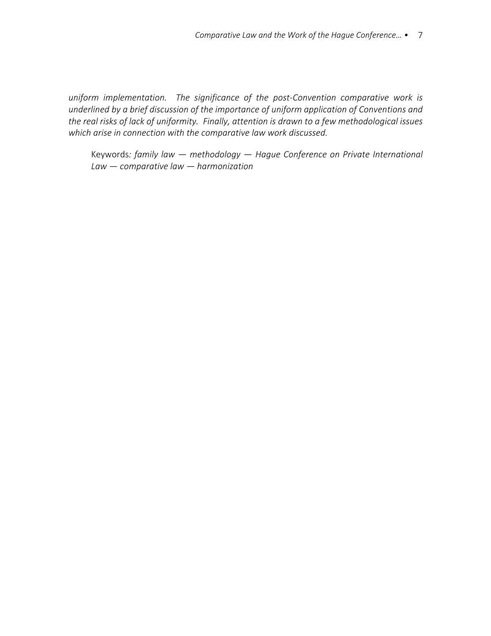*uniform implementation. The significance of the post-Convention comparative work is underlined by a brief discussion of the importance of uniform application of Conventions and the real risks of lack of uniformity. Finally, attention is drawn to a few methodological issues which arise in connection with the comparative law work discussed.*

Keywords*: family law — methodology — Hague Conference on Private International Law — comparative law — harmonization*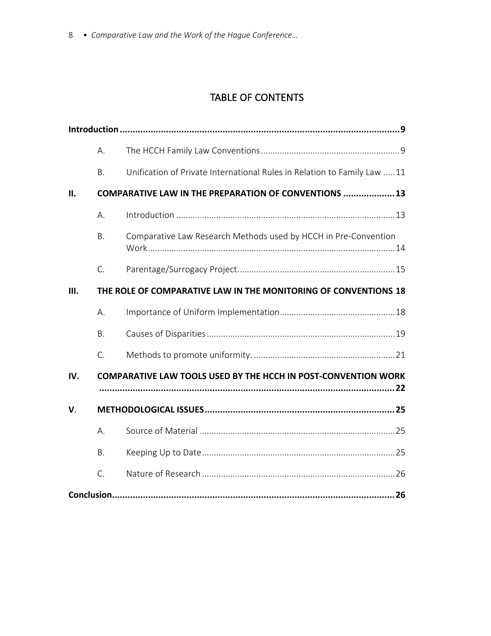# TABLE OF CONTENTS

|             | А.                                                              |                                                                         |  |
|-------------|-----------------------------------------------------------------|-------------------------------------------------------------------------|--|
|             | <b>B.</b>                                                       | Unification of Private International Rules in Relation to Family Law 11 |  |
| II.         |                                                                 | <b>COMPARATIVE LAW IN THE PREPARATION OF CONVENTIONS  13</b>            |  |
|             | А.                                                              |                                                                         |  |
|             | <b>B.</b>                                                       | Comparative Law Research Methods used by HCCH in Pre-Convention         |  |
|             | $\mathsf{C}$ .                                                  |                                                                         |  |
| Ш.          | THE ROLE OF COMPARATIVE LAW IN THE MONITORING OF CONVENTIONS 18 |                                                                         |  |
|             | А.                                                              |                                                                         |  |
|             | <b>B.</b>                                                       |                                                                         |  |
|             | C.                                                              |                                                                         |  |
| IV.         |                                                                 | <b>COMPARATIVE LAW TOOLS USED BY THE HCCH IN POST-CONVENTION WORK</b>   |  |
| $V_{\cdot}$ |                                                                 |                                                                         |  |
|             | А.                                                              |                                                                         |  |
|             | <b>B.</b>                                                       |                                                                         |  |
|             | C.                                                              |                                                                         |  |
|             |                                                                 |                                                                         |  |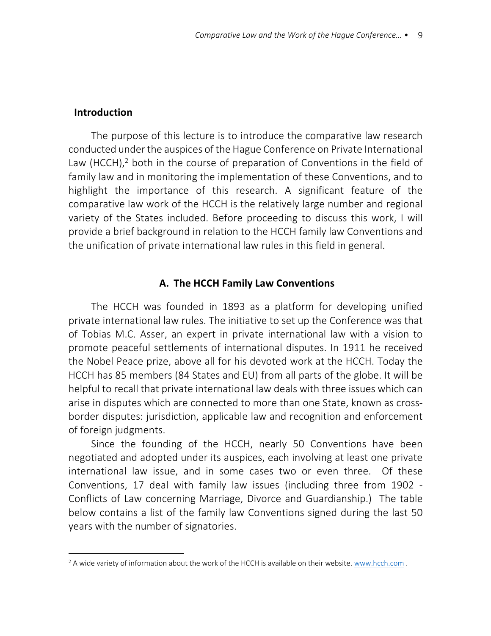## **Introduction**

The purpose of this lecture is to introduce the comparative law research conducted under the auspices of the Hague Conference on Private International Law (HCCH), $<sup>2</sup>$  both in the course of preparation of Conventions in the field of</sup> family law and in monitoring the implementation of these Conventions, and to highlight the importance of this research. A significant feature of the comparative law work of the HCCH is the relatively large number and regional variety of the States included. Before proceeding to discuss this work, I will provide a brief background in relation to the HCCH family law Conventions and the unification of private international law rules in this field in general.

## **A. The HCCH Family Law Conventions**

The HCCH was founded in 1893 as a platform for developing unified private international law rules. The initiative to set up the Conference was that of Tobias M.C. Asser, an expert in private international law with a vision to promote peaceful settlements of international disputes. In 1911 he received the Nobel Peace prize, above all for his devoted work at the HCCH. Today the HCCH has 85 members (84 States and EU) from all parts of the globe. It will be helpful to recall that private international law deals with three issues which can arise in disputes which are connected to more than one State, known as crossborder disputes: jurisdiction, applicable law and recognition and enforcement of foreign judgments.

Since the founding of the HCCH, nearly 50 Conventions have been negotiated and adopted under its auspices, each involving at least one private international law issue, and in some cases two or even three. Of these Conventions, 17 deal with family law issues (including three from 1902 - Conflicts of Law concerning Marriage, Divorce and Guardianship.) The table below contains a list of the family law Conventions signed during the last 50 years with the number of signatories.

<sup>&</sup>lt;sup>2</sup> A wide variety of information about the work of the HCCH is available on their website. www.hcch.com.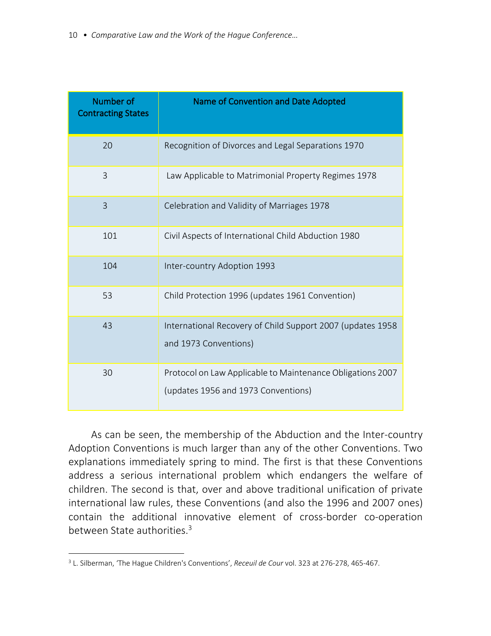| Number of<br><b>Contracting States</b> | Name of Convention and Date Adopted                                                               |
|----------------------------------------|---------------------------------------------------------------------------------------------------|
| 20                                     | Recognition of Divorces and Legal Separations 1970                                                |
| $\overline{3}$                         | Law Applicable to Matrimonial Property Regimes 1978                                               |
| $\overline{3}$                         | Celebration and Validity of Marriages 1978                                                        |
| 101                                    | Civil Aspects of International Child Abduction 1980                                               |
| 104                                    | Inter-country Adoption 1993                                                                       |
| 53                                     | Child Protection 1996 (updates 1961 Convention)                                                   |
| 43                                     | International Recovery of Child Support 2007 (updates 1958<br>and 1973 Conventions)               |
| 30                                     | Protocol on Law Applicable to Maintenance Obligations 2007<br>(updates 1956 and 1973 Conventions) |

As can be seen, the membership of the Abduction and the Inter-country Adoption Conventions is much larger than any of the other Conventions. Two explanations immediately spring to mind. The first is that these Conventions address a serious international problem which endangers the welfare of children. The second is that, over and above traditional unification of private international law rules, these Conventions (and also the 1996 and 2007 ones) contain the additional innovative element of cross-border co-operation between State authorities.<sup>3</sup>

<sup>3</sup> L. Silberman, 'The Hague Children's Conventions', *Receuil de Cour* vol. 323 at 276-278, 465-467.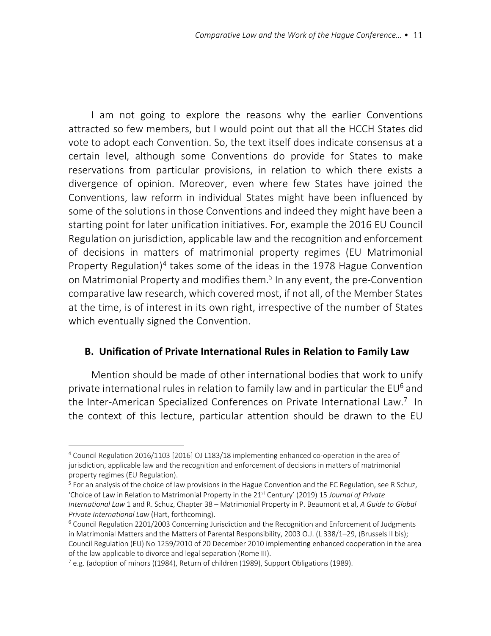I am not going to explore the reasons why the earlier Conventions attracted so few members, but I would point out that all the HCCH States did vote to adopt each Convention. So, the text itself does indicate consensus at a certain level, although some Conventions do provide for States to make reservations from particular provisions, in relation to which there exists a divergence of opinion. Moreover, even where few States have joined the Conventions, law reform in individual States might have been influenced by some of the solutions in those Conventions and indeed they might have been a starting point for later unification initiatives. For, example the 2016 EU Council Regulation on jurisdiction, applicable law and the recognition and enforcement of decisions in matters of matrimonial property regimes (EU Matrimonial Property Regulation)<sup>4</sup> takes some of the ideas in the 1978 Hague Convention on Matrimonial Property and modifies them.<sup>5</sup> In any event, the pre-Convention comparative law research, which covered most, if not all, of the Member States at the time, is of interest in its own right, irrespective of the number of States which eventually signed the Convention.

# **B. Unification of Private International Rules in Relation to Family Law**

Mention should be made of other international bodies that work to unify private international rules in relation to family law and in particular the  $EU<sup>6</sup>$  and the Inter-American Specialized Conferences on Private International Law.<sup>7</sup> In the context of this lecture, particular attention should be drawn to the EU

<sup>4</sup> Council Regulation 2016/1103 [2016] OJ L183/18 implementing enhanced co-operation in the area of jurisdiction, applicable law and the recognition and enforcement of decisions in matters of matrimonial property regimes (EU Regulation).

<sup>&</sup>lt;sup>5</sup> For an analysis of the choice of law provisions in the Hague Convention and the EC Regulation, see R Schuz, 'Choice of Law in Relation to Matrimonial Property in the 21<sup>st</sup> Century' (2019) 15 *Journal of Private International Law* 1 and R. Schuz, Chapter 38 – Matrimonial Property in P. Beaumont et al, *A Guide to Global Private International Law* (Hart, forthcoming).

<sup>6</sup> Council Regulation 2201/2003 Concerning Jurisdiction and the Recognition and Enforcement of Judgments in Matrimonial Matters and the Matters of Parental Responsibility, 2003 O.J. (L 338/1–29, (Brussels II bis); Council Regulation (EU) No 1259/2010 of 20 December 2010 implementing enhanced cooperation in the area of the law applicable to divorce and legal separation (Rome III).

 $^7$  e.g. (adoption of minors ((1984), Return of children (1989), Support Obligations (1989).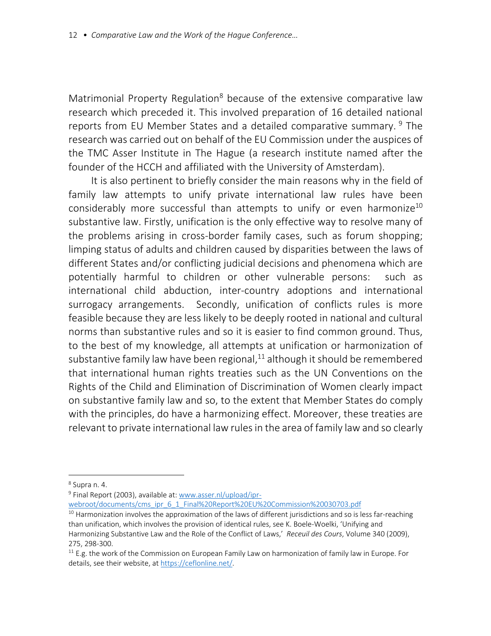Matrimonial Property Regulation<sup>8</sup> because of the extensive comparative law research which preceded it. This involved preparation of 16 detailed national reports from EU Member States and a detailed comparative summary. <sup>9</sup> The research was carried out on behalf of the EU Commission under the auspices of the TMC Asser Institute in The Hague (a research institute named after the founder of the HCCH and affiliated with the University of Amsterdam).

It is also pertinent to briefly consider the main reasons why in the field of family law attempts to unify private international law rules have been considerably more successful than attempts to unify or even harmonize<sup>10</sup> substantive law. Firstly, unification is the only effective way to resolve many of the problems arising in cross-border family cases, such as forum shopping; limping status of adults and children caused by disparities between the laws of different States and/or conflicting judicial decisions and phenomena which are potentially harmful to children or other vulnerable persons: such as international child abduction, inter-country adoptions and international surrogacy arrangements. Secondly, unification of conflicts rules is more feasible because they are less likely to be deeply rooted in national and cultural norms than substantive rules and so it is easier to find common ground. Thus, to the best of my knowledge, all attempts at unification or harmonization of substantive family law have been regional, $11$  although it should be remembered that international human rights treaties such as the UN Conventions on the Rights of the Child and Elimination of Discrimination of Women clearly impact on substantive family law and so, to the extent that Member States do comply with the principles, do have a harmonizing effect. Moreover, these treaties are relevant to private international law rules in the area of family law and so clearly

webroot/documents/cms\_ipr\_6\_1\_Final%20Report%20EU%20Commission%20030703.pdf

<sup>8</sup> Supra n. 4.

<sup>&</sup>lt;sup>9</sup> Final Report (2003), available at: www.asser.nl/upload/ipr-

 $10$  Harmonization involves the approximation of the laws of different jurisdictions and so is less far-reaching than unification, which involves the provision of identical rules, see K. Boele-Woelki, 'Unifying and Harmonizing Substantive Law and the Role of the Conflict of Laws,' *Receuil des Cours*, Volume 340 (2009), 275, 298-300.

 $11$  E.g. the work of the Commission on European Family Law on harmonization of family law in Europe. For details, see their website, at https://ceflonline.net/.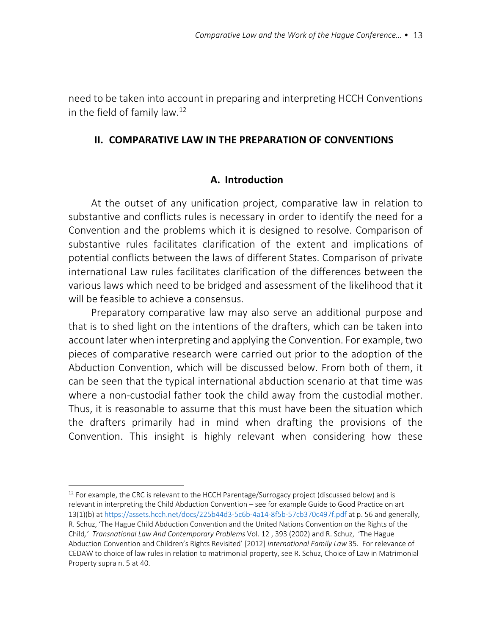need to be taken into account in preparing and interpreting HCCH Conventions in the field of family law.<sup>12</sup>

## **II. COMPARATIVE LAW IN THE PREPARATION OF CONVENTIONS**

## **A. Introduction**

At the outset of any unification project, comparative law in relation to substantive and conflicts rules is necessary in order to identify the need for a Convention and the problems which it is designed to resolve. Comparison of substantive rules facilitates clarification of the extent and implications of potential conflicts between the laws of different States. Comparison of private international Law rules facilitates clarification of the differences between the various laws which need to be bridged and assessment of the likelihood that it will be feasible to achieve a consensus.

Preparatory comparative law may also serve an additional purpose and that is to shed light on the intentions of the drafters, which can be taken into account later when interpreting and applying the Convention. For example, two pieces of comparative research were carried out prior to the adoption of the Abduction Convention, which will be discussed below. From both of them, it can be seen that the typical international abduction scenario at that time was where a non-custodial father took the child away from the custodial mother. Thus, it is reasonable to assume that this must have been the situation which the drafters primarily had in mind when drafting the provisions of the Convention. This insight is highly relevant when considering how these

<sup>&</sup>lt;sup>12</sup> For example, the CRC is relevant to the HCCH Parentage/Surrogacy project (discussed below) and is relevant in interpreting the Child Abduction Convention – see for example Guide to Good Practice on art 13(1)(b) at https://assets.hcch.net/docs/225b44d3-5c6b-4a14-8f5b-57cb370c497f.pdf at p. 56 and generally, R. Schuz, 'The Hague Child Abduction Convention and the United Nations Convention on the Rights of the Child*,' Transnational Law And Contemporary Problems* Vol. 12 , 393 (2002) and R. Schuz, 'The Hague Abduction Convention and Children's Rights Revisited' [2012] *International Family Law* 35. For relevance of CEDAW to choice of law rules in relation to matrimonial property, see R. Schuz, Choice of Law in Matrimonial Property supra n. 5 at 40.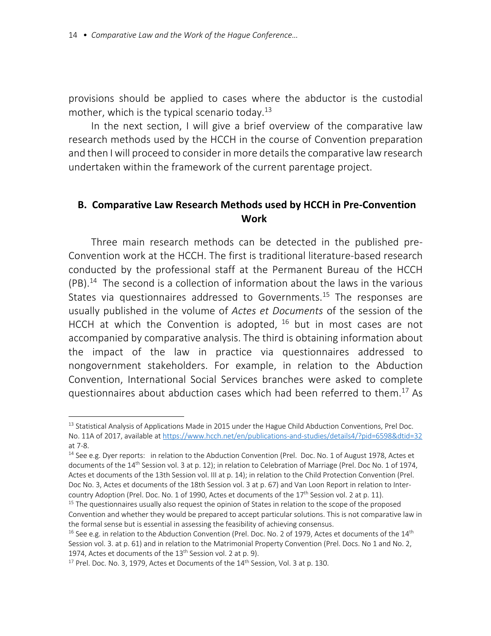provisions should be applied to cases where the abductor is the custodial mother, which is the typical scenario today.<sup>13</sup>

In the next section, I will give a brief overview of the comparative law research methods used by the HCCH in the course of Convention preparation and then I will proceed to consider in more details the comparative law research undertaken within the framework of the current parentage project.

# **B. Comparative Law Research Methods used by HCCH in Pre-Convention Work**

Three main research methods can be detected in the published pre-Convention work at the HCCH. The first is traditional literature-based research conducted by the professional staff at the Permanent Bureau of the HCCH  $(PB)$ .<sup>14</sup> The second is a collection of information about the laws in the various States via questionnaires addressed to Governments.<sup>15</sup> The responses are usually published in the volume of *Actes et Documents* of the session of the HCCH at which the Convention is adopted, <sup>16</sup> but in most cases are not accompanied by comparative analysis. The third is obtaining information about the impact of the law in practice via questionnaires addressed to nongovernment stakeholders. For example, in relation to the Abduction Convention, International Social Services branches were asked to complete questionnaires about abduction cases which had been referred to them.17 As

<sup>&</sup>lt;sup>13</sup> Statistical Analysis of Applications Made in 2015 under the Hague Child Abduction Conventions, Prel Doc. No. 11A of 2017, available at https://www.hcch.net/en/publications-and-studies/details4/?pid=6598&dtid=32 at 7-8.

<sup>&</sup>lt;sup>14</sup> See e.g. Dyer reports: in relation to the Abduction Convention (Prel. Doc. No. 1 of August 1978, Actes et documents of the 14<sup>th</sup> Session vol. 3 at p. 12); in relation to Celebration of Marriage (Prel. Doc No. 1 of 1974, Actes et documents of the 13th Session vol. III at p. 14); in relation to the Child Protection Convention (Prel. Doc No. 3, Actes et documents of the 18th Session vol. 3 at p. 67) and Van Loon Report in relation to Intercountry Adoption (Prel. Doc. No. 1 of 1990, Actes et documents of the 17<sup>th</sup> Session vol. 2 at p. 11).

 $15$  The questionnaires usually also request the opinion of States in relation to the scope of the proposed Convention and whether they would be prepared to accept particular solutions. This is not comparative law in the formal sense but is essential in assessing the feasibility of achieving consensus.

<sup>&</sup>lt;sup>16</sup> See e.g. in relation to the Abduction Convention (Prel. Doc. No. 2 of 1979, Actes et documents of the  $14<sup>th</sup>$ Session vol. 3. at p. 61) and in relation to the Matrimonial Property Convention (Prel. Docs. No 1 and No. 2, 1974, Actes et documents of the 13<sup>th</sup> Session vol. 2 at p. 9).

 $17$  Prel. Doc. No. 3, 1979, Actes et Documents of the  $14<sup>th</sup>$  Session, Vol. 3 at p. 130.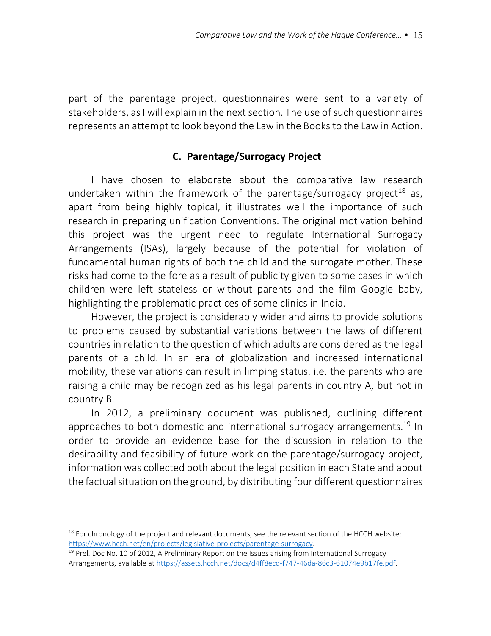part of the parentage project, questionnaires were sent to a variety of stakeholders, as I will explain in the next section. The use of such questionnaires represents an attempt to look beyond the Law in the Books to the Law in Action.

# **C. Parentage/Surrogacy Project**

I have chosen to elaborate about the comparative law research undertaken within the framework of the parentage/surrogacy project<sup>18</sup> as, apart from being highly topical, it illustrates well the importance of such research in preparing unification Conventions. The original motivation behind this project was the urgent need to regulate International Surrogacy Arrangements (ISAs), largely because of the potential for violation of fundamental human rights of both the child and the surrogate mother. These risks had come to the fore as a result of publicity given to some cases in which children were left stateless or without parents and the film Google baby, highlighting the problematic practices of some clinics in India.

However, the project is considerably wider and aims to provide solutions to problems caused by substantial variations between the laws of different countries in relation to the question of which adults are considered as the legal parents of a child. In an era of globalization and increased international mobility, these variations can result in limping status. i.e. the parents who are raising a child may be recognized as his legal parents in country A, but not in country B.

In 2012, a preliminary document was published, outlining different approaches to both domestic and international surrogacy arrangements.<sup>19</sup> In order to provide an evidence base for the discussion in relation to the desirability and feasibility of future work on the parentage/surrogacy project, information was collected both about the legal position in each State and about the factual situation on the ground, by distributing four different questionnaires

<sup>&</sup>lt;sup>18</sup> For chronology of the project and relevant documents, see the relevant section of the HCCH website: https://www.hcch.net/en/projects/legislative-projects/parentage-surrogacy.

 $19$  Prel. Doc No. 10 of 2012, A Preliminary Report on the Issues arising from International Surrogacy Arrangements, available at https://assets.hcch.net/docs/d4ff8ecd-f747-46da-86c3-61074e9b17fe.pdf.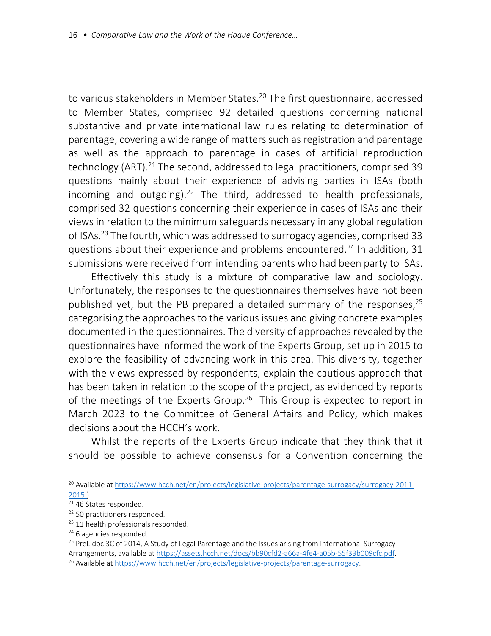to various stakeholders in Member States.<sup>20</sup> The first questionnaire, addressed to Member States, comprised 92 detailed questions concerning national substantive and private international law rules relating to determination of parentage, covering a wide range of matters such as registration and parentage as well as the approach to parentage in cases of artificial reproduction technology (ART).<sup>21</sup> The second, addressed to legal practitioners, comprised 39 questions mainly about their experience of advising parties in ISAs (both incoming and outgoing).<sup>22</sup> The third, addressed to health professionals, comprised 32 questions concerning their experience in cases of ISAs and their views in relation to the minimum safeguards necessary in any global regulation of ISAs.23 The fourth, which was addressed to surrogacy agencies, comprised 33 questions about their experience and problems encountered.24 In addition, 31 submissions were received from intending parents who had been party to ISAs.

Effectively this study is a mixture of comparative law and sociology. Unfortunately, the responses to the questionnaires themselves have not been published yet, but the PB prepared a detailed summary of the responses,  $25$ categorising the approaches to the various issues and giving concrete examples documented in the questionnaires. The diversity of approaches revealed by the questionnaires have informed the work of the Experts Group, set up in 2015 to explore the feasibility of advancing work in this area. This diversity, together with the views expressed by respondents, explain the cautious approach that has been taken in relation to the scope of the project, as evidenced by reports of the meetings of the Experts Group.<sup>26</sup> This Group is expected to report in March 2023 to the Committee of General Affairs and Policy, which makes decisions about the HCCH's work.

Whilst the reports of the Experts Group indicate that they think that it should be possible to achieve consensus for a Convention concerning the

<sup>20</sup> Available at https://www.hcch.net/en/projects/legislative-projects/parentage-surrogacy/surrogacy-2011- 2015.)

 $\overline{21}$  46 States responded.

<sup>&</sup>lt;sup>22</sup> 50 practitioners responded.

<sup>&</sup>lt;sup>23</sup> 11 health professionals responded.

<sup>&</sup>lt;sup>24</sup> 6 agencies responded.

<sup>&</sup>lt;sup>25</sup> Prel. doc 3C of 2014, A Study of Legal Parentage and the Issues arising from International Surrogacy Arrangements, available at https://assets.hcch.net/docs/bb90cfd2-a66a-4fe4-a05b-55f33b009cfc.pdf.

<sup>26</sup> Available at https://www.hcch.net/en/projects/legislative-projects/parentage-surrogacy.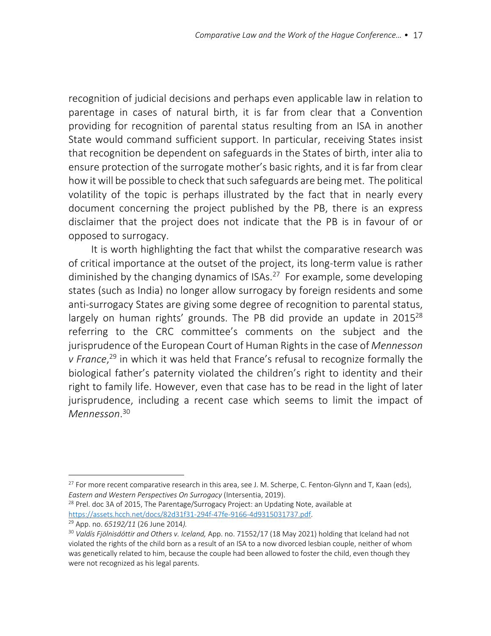recognition of judicial decisions and perhaps even applicable law in relation to parentage in cases of natural birth, it is far from clear that a Convention providing for recognition of parental status resulting from an ISA in another State would command sufficient support. In particular, receiving States insist that recognition be dependent on safeguards in the States of birth, inter alia to ensure protection of the surrogate mother's basic rights, and it is far from clear how it will be possible to check that such safeguards are being met. The political volatility of the topic is perhaps illustrated by the fact that in nearly every document concerning the project published by the PB, there is an express disclaimer that the project does not indicate that the PB is in favour of or opposed to surrogacy.

It is worth highlighting the fact that whilst the comparative research was of critical importance at the outset of the project, its long-term value is rather diminished by the changing dynamics of ISAs.<sup>27</sup> For example, some developing states (such as India) no longer allow surrogacy by foreign residents and some anti-surrogacy States are giving some degree of recognition to parental status, largely on human rights' grounds. The PB did provide an update in 2015<sup>28</sup> referring to the CRC committee's comments on the subject and the jurisprudence of the European Court of Human Rights in the case of *Mennesson v France*, <sup>29</sup> in which it was held that France's refusal to recognize formally the biological father's paternity violated the children's right to identity and their right to family life. However, even that case has to be read in the light of later jurisprudence, including a recent case which seems to limit the impact of *Mennesson*. 30

<sup>&</sup>lt;sup>27</sup> For more recent comparative research in this area, see J. M. Scherpe, C. Fenton-Glynn and T, Kaan (eds), *Eastern and Western Perspectives On Surrogacy* (Intersentia, 2019).

<sup>&</sup>lt;sup>28</sup> Prel. doc 3A of 2015, The Parentage/Surrogacy Project: an Updating Note, available at https://assets.hcch.net/docs/82d31f31-294f-47fe-9166-4d9315031737.pdf.<br><sup>29</sup> App. no. 65192/11 (26 June 2014).<br><sup>30</sup> Valdís Fjölnisdóttir and Others v. Iceland, App. no. 71552/17 (18 May 2021) holding that Iceland had not

violated the rights of the child born as a result of an ISA to a now divorced lesbian couple, neither of whom was genetically related to him, because the couple had been allowed to foster the child, even though they were not recognized as his legal parents.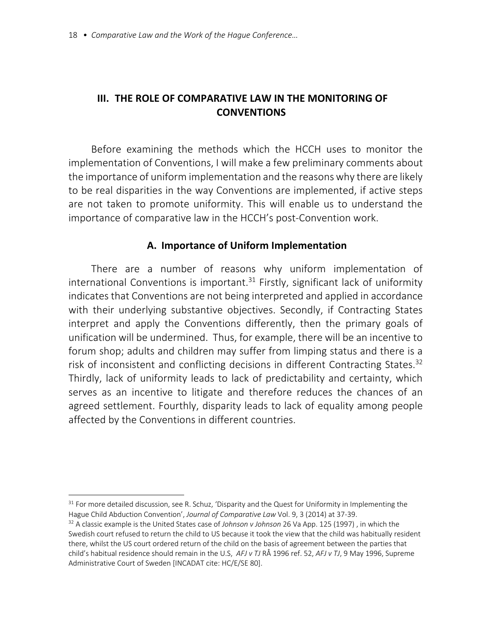# **III. THE ROLE OF COMPARATIVE LAW IN THE MONITORING OF CONVENTIONS**

Before examining the methods which the HCCH uses to monitor the implementation of Conventions, I will make a few preliminary comments about the importance of uniform implementation and the reasons why there are likely to be real disparities in the way Conventions are implemented, if active steps are not taken to promote uniformity. This will enable us to understand the importance of comparative law in the HCCH's post-Convention work.

## **A. Importance of Uniform Implementation**

There are a number of reasons why uniform implementation of international Conventions is important.<sup>31</sup> Firstly, significant lack of uniformity indicates that Conventions are not being interpreted and applied in accordance with their underlying substantive objectives. Secondly, if Contracting States interpret and apply the Conventions differently, then the primary goals of unification will be undermined. Thus, for example, there will be an incentive to forum shop; adults and children may suffer from limping status and there is a risk of inconsistent and conflicting decisions in different Contracting States.<sup>32</sup> Thirdly, lack of uniformity leads to lack of predictability and certainty, which serves as an incentive to litigate and therefore reduces the chances of an agreed settlement. Fourthly, disparity leads to lack of equality among people affected by the Conventions in different countries.

<sup>&</sup>lt;sup>31</sup> For more detailed discussion, see R. Schuz, 'Disparity and the Quest for Uniformity in Implementing the Hague Child Abduction Convention', *Journal of Comparative Law* Vol. 9, 3 (2014) at 37-39.

<sup>32</sup> A classic example is the United States case of *Johnson v Johnson* 26 Va App. 125 (1997) , in which the Swedish court refused to return the child to US because it took the view that the child was habitually resident there, whilst the US court ordered return of the child on the basis of agreement between the parties that child's habitual residence should remain in the U.S, *AFJ v TJ* RÅ 1996 ref. 52, *AFJ v TJ*, 9 May 1996, Supreme Administrative Court of Sweden [INCADAT cite: HC/E/SE 80].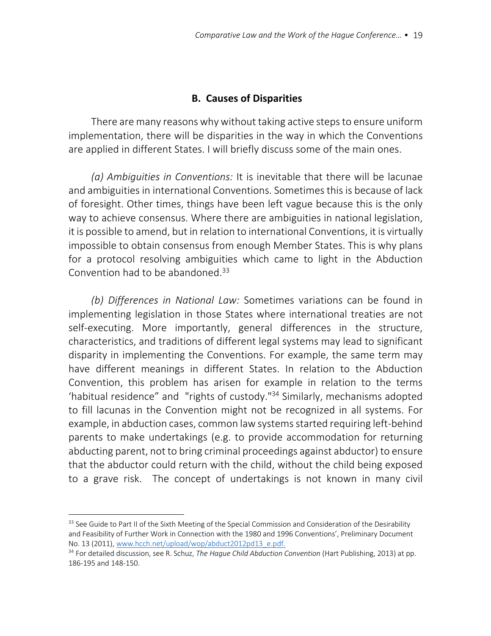## **B. Causes of Disparities**

There are many reasons why without taking active steps to ensure uniform implementation, there will be disparities in the way in which the Conventions are applied in different States. I will briefly discuss some of the main ones.

*(a) Ambiguities in Conventions:* It is inevitable that there will be lacunae and ambiguities in international Conventions. Sometimes this is because of lack of foresight. Other times, things have been left vague because this is the only way to achieve consensus. Where there are ambiguities in national legislation, it is possible to amend, but in relation to international Conventions, it is virtually impossible to obtain consensus from enough Member States. This is why plans for a protocol resolving ambiguities which came to light in the Abduction Convention had to be abandoned.<sup>33</sup>

*(b) Differences in National Law:* Sometimes variations can be found in implementing legislation in those States where international treaties are not self-executing. More importantly, general differences in the structure, characteristics, and traditions of different legal systems may lead to significant disparity in implementing the Conventions. For example, the same term may have different meanings in different States. In relation to the Abduction Convention, this problem has arisen for example in relation to the terms 'habitual residence" and "rights of custody."34 Similarly, mechanisms adopted to fill lacunas in the Convention might not be recognized in all systems. For example, in abduction cases, common law systems started requiring left-behind parents to make undertakings (e.g. to provide accommodation for returning abducting parent, not to bring criminal proceedings against abductor) to ensure that the abductor could return with the child, without the child being exposed to a grave risk. The concept of undertakings is not known in many civil

<sup>33</sup> See Guide to Part II of the Sixth Meeting of the Special Commission and Consideration of the Desirability and Feasibility of Further Work in Connection with the 1980 and 1996 Conventions', Preliminary Document No. 13 (2011), www.hcch.net/upload/wop/abduct2012pd13\_e.pdf.

<sup>34</sup> For detailed discussion, see R. Schuz, *The Hague Child Abduction Convention* (Hart Publishing, 2013) at pp. 186-195 and 148-150.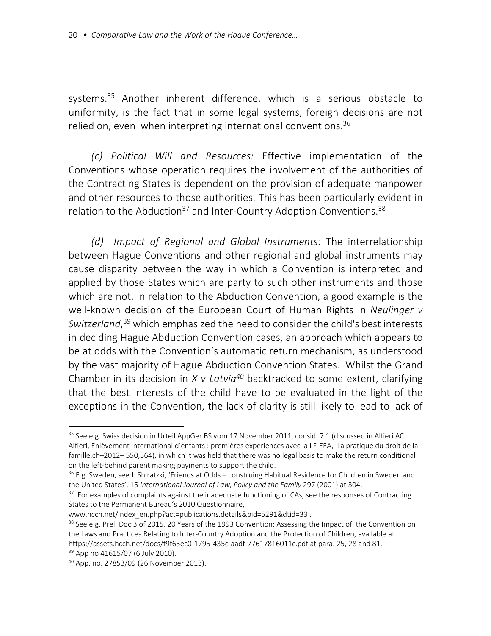systems.<sup>35</sup> Another inherent difference, which is a serious obstacle to uniformity, is the fact that in some legal systems, foreign decisions are not relied on, even when interpreting international conventions.<sup>36</sup>

*(c) Political Will and Resources:* Effective implementation of the Conventions whose operation requires the involvement of the authorities of the Contracting States is dependent on the provision of adequate manpower and other resources to those authorities. This has been particularly evident in relation to the Abduction<sup>37</sup> and Inter-Country Adoption Conventions.<sup>38</sup>

*(d) Impact of Regional and Global Instruments:* The interrelationship between Hague Conventions and other regional and global instruments may cause disparity between the way in which a Convention is interpreted and applied by those States which are party to such other instruments and those which are not. In relation to the Abduction Convention, a good example is the well-known decision of the European Court of Human Rights in *Neulinger v Switzerland*, <sup>39</sup> which emphasized the need to consider the child's best interests in deciding Hague Abduction Convention cases, an approach which appears to be at odds with the Convention's automatic return mechanism, as understood by the vast majority of Hague Abduction Convention States. Whilst the Grand Chamber in its decision in *X v Latvia40* backtracked to some extent, clarifying that the best interests of the child have to be evaluated in the light of the exceptions in the Convention, the lack of clarity is still likely to lead to lack of

<sup>&</sup>lt;sup>35</sup> See e.g. Swiss decision in Urteil AppGer BS vom 17 November 2011, consid. 7.1 (discussed in Alfieri AC Alfieri, Enlèvement international d'enfants : premières expériences avec la LF-EEA, La pratique du droit de la famille.ch–2012– 550,564), in which it was held that there was no legal basis to make the return conditional on the left-behind parent making payments to support the child.

<sup>&</sup>lt;sup>36</sup> E.g. Sweden, see J. Shiratzki, 'Friends at Odds – construing Habitual Residence for Children in Sweden and the United States', 15 *International Journal of Law, Policy and the Family* 297 (2001) at 304.

<sup>&</sup>lt;sup>37</sup> For examples of complaints against the inadequate functioning of CAs, see the responses of Contracting States to the Permanent Bureau's 2010 Questionnaire,

www.hcch.net/index\_en.php?act=publications.details&pid=5291&dtid=33.

<sup>&</sup>lt;sup>38</sup> See e.g. Prel. Doc 3 of 2015, 20 Years of the 1993 Convention: Assessing the Impact of the Convention on the Laws and Practices Relating to Inter-Country Adoption and the Protection of Children, available at https://assets.hcch.net/docs/f9f65ec0-1795-435c-aadf-77617816011c.pdf at para. 25, 28 and 81.

<sup>&</sup>lt;sup>39</sup> App no 41615/07 (6 July 2010).

<sup>40</sup> App. no. 27853/09 (26 November 2013).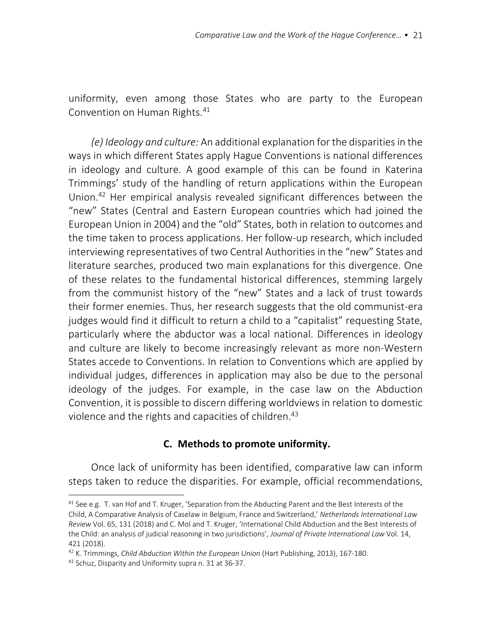uniformity, even among those States who are party to the European Convention on Human Rights. 41

*(e) Ideology and culture:* An additional explanation for the disparities in the ways in which different States apply Hague Conventions is national differences in ideology and culture. A good example of this can be found in Katerina Trimmings' study of the handling of return applications within the European Union.42 Her empirical analysis revealed significant differences between the "new" States (Central and Eastern European countries which had joined the European Union in 2004) and the "old" States, both in relation to outcomes and the time taken to process applications. Her follow-up research, which included interviewing representatives of two Central Authorities in the "new" States and literature searches, produced two main explanations for this divergence. One of these relates to the fundamental historical differences, stemming largely from the communist history of the "new" States and a lack of trust towards their former enemies. Thus, her research suggests that the old communist-era judges would find it difficult to return a child to a "capitalist" requesting State, particularly where the abductor was a local national. Differences in ideology and culture are likely to become increasingly relevant as more non-Western States accede to Conventions. In relation to Conventions which are applied by individual judges, differences in application may also be due to the personal ideology of the judges. For example, in the case law on the Abduction Convention, it is possible to discern differing worldviews in relation to domestic violence and the rights and capacities of children.43

# **C. Methods to promote uniformity.**

Once lack of uniformity has been identified, comparative law can inform steps taken to reduce the disparities. For example, official recommendations,

 $41$  See e.g. T. van Hof and T. Kruger, 'Separation from the Abducting Parent and the Best Interests of the Child, A Comparative Analysis of Caselaw in Belgium, France and Switzerland,' *Netherlands International Law Review* Vol. 65, 131 (2018) and C. Mol and T. Kruger, 'International Child Abduction and the Best Interests of the Child: an analysis of judicial reasoning in two jurisdictions', *Journal of Private International Law* Vol. 14, 421 (2018).

<sup>42</sup> K. Trimmings, *Child Abduction Within the European Union* (Hart Publishing, 2013), 167-180.

<sup>43</sup> Schuz, Disparity and Uniformity supra n. 31 at 36-37.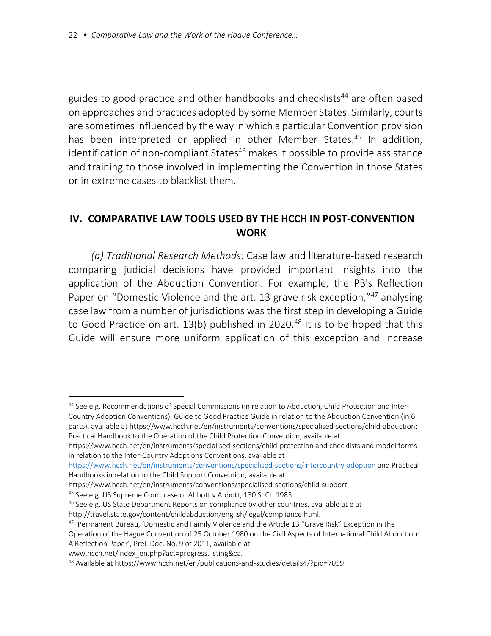guides to good practice and other handbooks and checklists<sup>44</sup> are often based on approaches and practices adopted by some Member States. Similarly, courts are sometimes influenced by the way in which a particular Convention provision has been interpreted or applied in other Member States.<sup>45</sup> In addition, identification of non-compliant States<sup>46</sup> makes it possible to provide assistance and training to those involved in implementing the Convention in those States or in extreme cases to blacklist them.

# **IV. COMPARATIVE LAW TOOLS USED BY THE HCCH IN POST-CONVENTION WORK**

*(a) Traditional Research Methods:* Case law and literature-based research comparing judicial decisions have provided important insights into the application of the Abduction Convention. For example, the PB's Reflection Paper on "Domestic Violence and the art. 13 grave risk exception,"47 analysing case law from a number of jurisdictions was the first step in developing a Guide to Good Practice on art. 13(b) published in 2020.<sup>48</sup> It is to be hoped that this Guide will ensure more uniform application of this exception and increase

https://www.hcch.net/en/instruments/specialised-sections/child-protection and checklists and model forms in relation to the Inter-Country Adoptions Conventions, available at

https://www.hcch.net/en/instruments/conventions/specialised-sections/intercountry-adoption and Practical Handbooks in relation to the Child Support Convention, available at

<sup>44</sup> See e.g. Recommendations of Special Commissions (in relation to Abduction, Child Protection and Inter-Country Adoption Conventions), Guide to Good Practice Guide in relation to the Abduction Convention (in 6 parts), available at https://www.hcch.net/en/instruments/conventions/specialised-sections/child-abduction; Practical Handbook to the Operation of the Child Protection Convention, available at

https://www.hcch.net/en/instruments/conventions/specialised-sections/child-support

<sup>45</sup> See e.g. US Supreme Court case of Abbott v Abbott, 130 S. Ct. 1983.

<sup>46</sup> See e.g. US State Department Reports on compliance by other countries, available at e at

http://travel.state.gov/content/childabduction/english/legal/compliance.html.

<sup>&</sup>lt;sup>47</sup> Permanent Bureau, 'Domestic and Family Violence and the Article 13 "Grave Risk" Exception in the

Operation of the Hague Convention of 25 October 1980 on the Civil Aspects of International Child Abduction: A Reflection Paper', Prel. Doc. No. 9 of 2011, available at

www.hcch.net/index\_en.php?act=progress.listing&ca.<br><sup>48</sup> Available at https://www.hcch.net/en/publications-and-studies/details4/?pid=7059.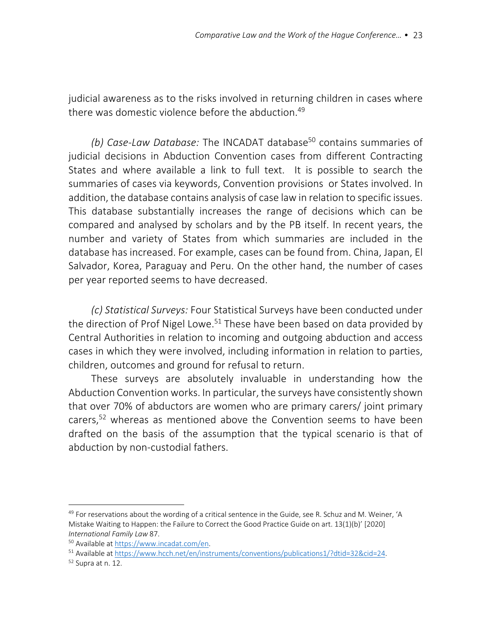judicial awareness as to the risks involved in returning children in cases where there was domestic violence before the abduction.<sup>49</sup>

*(b) Case-Law Database:* The INCADAT database<sup>50</sup> contains summaries of judicial decisions in Abduction Convention cases from different Contracting States and where available a link to full text. It is possible to search the summaries of cases via keywords, Convention provisions or States involved. In addition, the database contains analysis of case law in relation to specific issues. This database substantially increases the range of decisions which can be compared and analysed by scholars and by the PB itself. In recent years, the number and variety of States from which summaries are included in the database has increased. For example, cases can be found from. China, Japan, El Salvador, Korea, Paraguay and Peru. On the other hand, the number of cases per year reported seems to have decreased.

*(c) Statistical Surveys:* Four Statistical Surveys have been conducted under the direction of Prof Nigel Lowe.<sup>51</sup> These have been based on data provided by Central Authorities in relation to incoming and outgoing abduction and access cases in which they were involved, including information in relation to parties, children, outcomes and ground for refusal to return.

These surveys are absolutely invaluable in understanding how the Abduction Convention works. In particular, the surveys have consistently shown that over 70% of abductors are women who are primary carers/ joint primary carers,52 whereas as mentioned above the Convention seems to have been drafted on the basis of the assumption that the typical scenario is that of abduction by non-custodial fathers.

 $49$  For reservations about the wording of a critical sentence in the Guide, see R. Schuz and M. Weiner, 'A Mistake Waiting to Happen: the Failure to Correct the Good Practice Guide on art. 13(1)(b)' [2020] *International Family Law* 87.

<sup>50</sup> Available at https://www.incadat.com/en.

<sup>51</sup> Available at https://www.hcch.net/en/instruments/conventions/publications1/?dtid=32&cid=24.

 $52$  Supra at n. 12.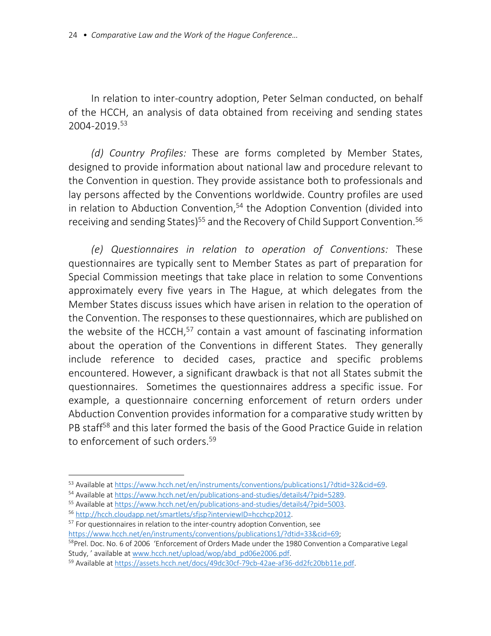In relation to inter-country adoption, Peter Selman conducted, on behalf of the HCCH, an analysis of data obtained from receiving and sending states 2004-2019.53

*(d) Country Profiles:* These are forms completed by Member States, designed to provide information about national law and procedure relevant to the Convention in question. They provide assistance both to professionals and lay persons affected by the Conventions worldwide. Country profiles are used in relation to Abduction Convention, $54$  the Adoption Convention (divided into receiving and sending States)<sup>55</sup> and the Recovery of Child Support Convention.<sup>56</sup>

*(e) Questionnaires in relation to operation of Conventions:* These questionnaires are typically sent to Member States as part of preparation for Special Commission meetings that take place in relation to some Conventions approximately every five years in The Hague, at which delegates from the Member States discuss issues which have arisen in relation to the operation of the Convention. The responses to these questionnaires, which are published on the website of the HCCH, $57$  contain a vast amount of fascinating information about the operation of the Conventions in different States. They generally include reference to decided cases, practice and specific problems encountered. However, a significant drawback is that not all States submit the questionnaires. Sometimes the questionnaires address a specific issue. For example, a questionnaire concerning enforcement of return orders under Abduction Convention provides information for a comparative study written by PB staff<sup>58</sup> and this later formed the basis of the Good Practice Guide in relation to enforcement of such orders.<sup>59</sup>

<sup>57</sup> For questionnaires in relation to the inter-country adoption Convention, see<br>https://www.hcch.net/en/instruments/conventions/publications1/?dtid=33&cid=69;

<sup>53</sup> Available at https://www.hcch.net/en/instruments/conventions/publications1/?dtid=32&cid=69.

<sup>54</sup> Available at https://www.hcch.net/en/publications-and-studies/details4/?pid=5289.

<sup>55</sup> Available at https://www.hcch.net/en/publications-and-studies/details4/?pid=5003. <sup>56</sup> http://hcch.cloudapp.net/smartlets/sfjsp?interviewID=hcchcp2012.

<sup>58</sup>Prel. Doc. No. 6 of 2006 'Enforcement of Orders Made under the 1980 Convention a Comparative Legal Study, ' available at www.hcch.net/upload/wop/abd\_pd06e2006.pdf.

<sup>59</sup> Available at https://assets.hcch.net/docs/49dc30cf-79cb-42ae-af36-dd2fc20bb11e.pdf.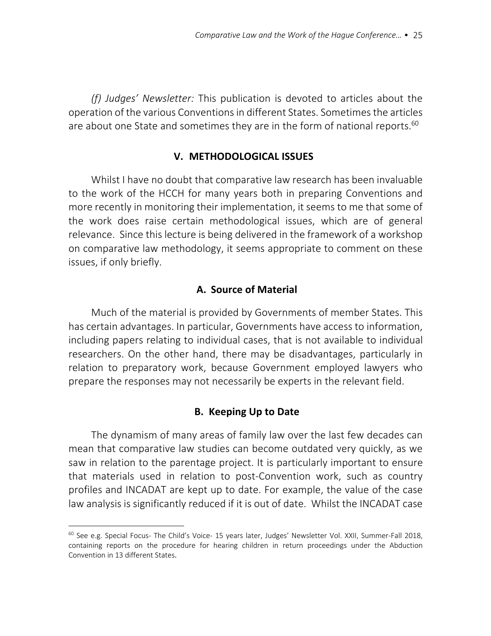*(f) Judges' Newsletter:* This publication is devoted to articles about the operation of the various Conventions in different States. Sometimes the articles are about one State and sometimes they are in the form of national reports.<sup>60</sup>

## **V. METHODOLOGICAL ISSUES**

Whilst I have no doubt that comparative law research has been invaluable to the work of the HCCH for many years both in preparing Conventions and more recently in monitoring their implementation, it seems to me that some of the work does raise certain methodological issues, which are of general relevance. Since this lecture is being delivered in the framework of a workshop on comparative law methodology, it seems appropriate to comment on these issues, if only briefly.

## **A. Source of Material**

Much of the material is provided by Governments of member States. This has certain advantages. In particular, Governments have access to information, including papers relating to individual cases, that is not available to individual researchers. On the other hand, there may be disadvantages, particularly in relation to preparatory work, because Government employed lawyers who prepare the responses may not necessarily be experts in the relevant field.

## **B. Keeping Up to Date**

The dynamism of many areas of family law over the last few decades can mean that comparative law studies can become outdated very quickly, as we saw in relation to the parentage project. It is particularly important to ensure that materials used in relation to post-Convention work, such as country profiles and INCADAT are kept up to date. For example, the value of the case law analysis is significantly reduced if it is out of date. Whilst the INCADAT case

<sup>&</sup>lt;sup>60</sup> See e.g. Special Focus- The Child's Voice- 15 years later, Judges' Newsletter Vol. XXII, Summer-Fall 2018, containing reports on the procedure for hearing children in return proceedings under the Abduction Convention in 13 different States.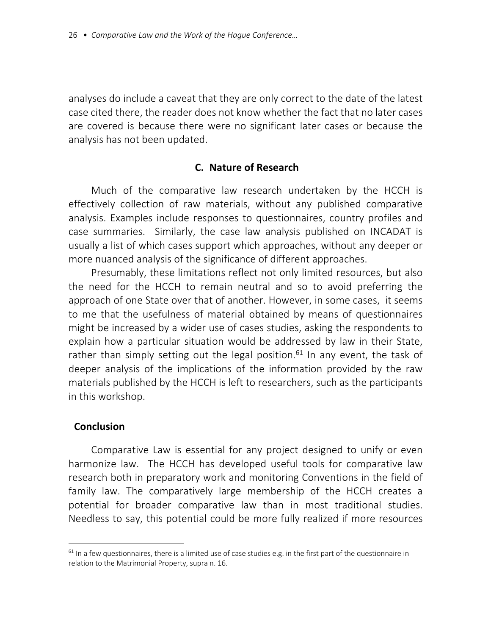analyses do include a caveat that they are only correct to the date of the latest case cited there, the reader does not know whether the fact that no later cases are covered is because there were no significant later cases or because the analysis has not been updated.

## **C. Nature of Research**

Much of the comparative law research undertaken by the HCCH is effectively collection of raw materials, without any published comparative analysis. Examples include responses to questionnaires, country profiles and case summaries. Similarly, the case law analysis published on INCADAT is usually a list of which cases support which approaches, without any deeper or more nuanced analysis of the significance of different approaches.

Presumably, these limitations reflect not only limited resources, but also the need for the HCCH to remain neutral and so to avoid preferring the approach of one State over that of another. However, in some cases, it seems to me that the usefulness of material obtained by means of questionnaires might be increased by a wider use of cases studies, asking the respondents to explain how a particular situation would be addressed by law in their State, rather than simply setting out the legal position.<sup>61</sup> In any event, the task of deeper analysis of the implications of the information provided by the raw materials published by the HCCH is left to researchers, such as the participants in this workshop.

## **Conclusion**

Comparative Law is essential for any project designed to unify or even harmonize law. The HCCH has developed useful tools for comparative law research both in preparatory work and monitoring Conventions in the field of family law. The comparatively large membership of the HCCH creates a potential for broader comparative law than in most traditional studies. Needless to say, this potential could be more fully realized if more resources

 $61$  In a few questionnaires, there is a limited use of case studies e.g. in the first part of the questionnaire in relation to the Matrimonial Property, supra n. 16.